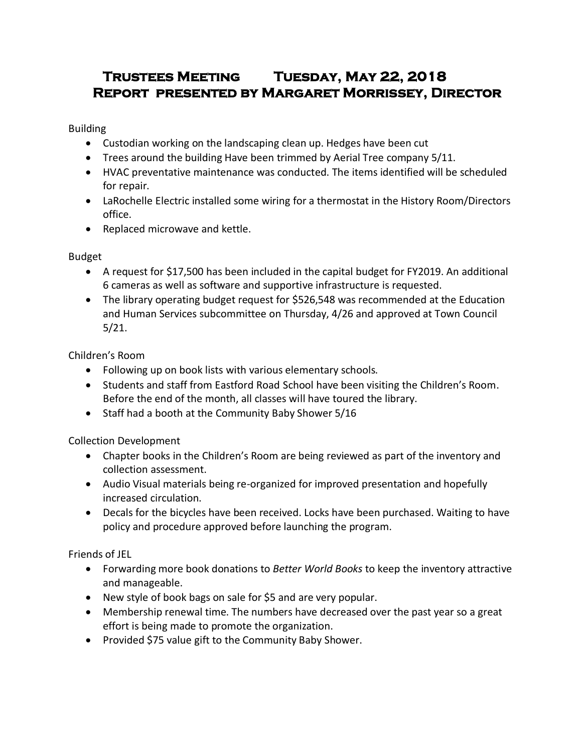# **Trustees Meeting Tuesday, May 22, 2018 Report presented by Margaret Morrissey, Director**

Building

- Custodian working on the landscaping clean up. Hedges have been cut
- Trees around the building Have been trimmed by Aerial Tree company 5/11.
- HVAC preventative maintenance was conducted. The items identified will be scheduled for repair.
- LaRochelle Electric installed some wiring for a thermostat in the History Room/Directors office.
- Replaced microwave and kettle.

Budget

- A request for \$17,500 has been included in the capital budget for FY2019. An additional 6 cameras as well as software and supportive infrastructure is requested.
- The library operating budget request for \$526,548 was recommended at the Education and Human Services subcommittee on Thursday, 4/26 and approved at Town Council 5/21.

Children's Room

- Following up on book lists with various elementary schools.
- Students and staff from Eastford Road School have been visiting the Children's Room. Before the end of the month, all classes will have toured the library.
- Staff had a booth at the Community Baby Shower 5/16

Collection Development

- Chapter books in the Children's Room are being reviewed as part of the inventory and collection assessment.
- Audio Visual materials being re-organized for improved presentation and hopefully increased circulation.
- Decals for the bicycles have been received. Locks have been purchased. Waiting to have policy and procedure approved before launching the program.

Friends of JEL

- Forwarding more book donations to *Better World Books* to keep the inventory attractive and manageable.
- New style of book bags on sale for \$5 and are very popular.
- Membership renewal time. The numbers have decreased over the past year so a great effort is being made to promote the organization.
- Provided \$75 value gift to the Community Baby Shower.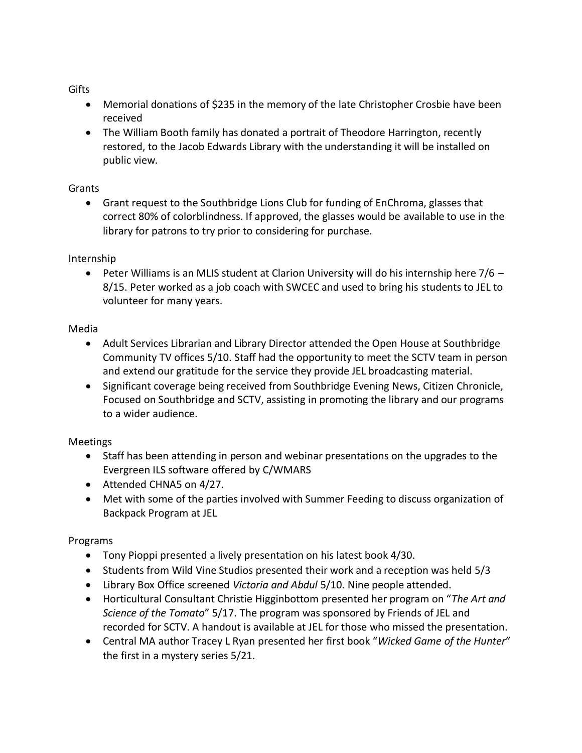**Gifts** 

- Memorial donations of \$235 in the memory of the late Christopher Crosbie have been received
- The William Booth family has donated a portrait of Theodore Harrington, recently restored, to the Jacob Edwards Library with the understanding it will be installed on public view.

## Grants

 Grant request to the Southbridge Lions Club for funding of EnChroma, glasses that correct 80% of colorblindness. If approved, the glasses would be available to use in the library for patrons to try prior to considering for purchase.

# Internship

**•** Peter Williams is an MLIS student at Clarion University will do his internship here  $7/6$  – 8/15. Peter worked as a job coach with SWCEC and used to bring his students to JEL to volunteer for many years.

## Media

- Adult Services Librarian and Library Director attended the Open House at Southbridge Community TV offices 5/10. Staff had the opportunity to meet the SCTV team in person and extend our gratitude for the service they provide JEL broadcasting material.
- Significant coverage being received from Southbridge Evening News, Citizen Chronicle, Focused on Southbridge and SCTV, assisting in promoting the library and our programs to a wider audience.

# Meetings

- Staff has been attending in person and webinar presentations on the upgrades to the Evergreen ILS software offered by C/WMARS
- Attended CHNA5 on 4/27.
- Met with some of the parties involved with Summer Feeding to discuss organization of Backpack Program at JEL

# Programs

- Tony Pioppi presented a lively presentation on his latest book 4/30.
- Students from Wild Vine Studios presented their work and a reception was held 5/3
- Library Box Office screened *Victoria and Abdul* 5/10. Nine people attended.
- Horticultural Consultant Christie Higginbottom presented her program on "*The Art and Science of the Tomato*" 5/17. The program was sponsored by Friends of JEL and recorded for SCTV. A handout is available at JEL for those who missed the presentation.
- Central MA author Tracey L Ryan presented her first book "*Wicked Game of the Hunter*" the first in a mystery series 5/21.